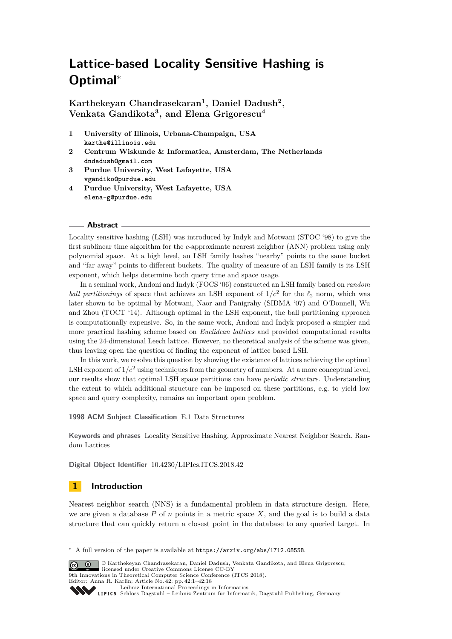# **Lattice-based Locality Sensitive Hashing is Optimal**<sup>∗</sup>

**Karthekeyan Chandrasekaran<sup>1</sup> , Daniel Dadush<sup>2</sup> , Venkata Gandikota<sup>3</sup> , and Elena Grigorescu<sup>4</sup>**

- **1 University of Illinois, Urbana-Champaign, USA karthe@illinois.edu**
- **2 Centrum Wiskunde & Informatica, Amsterdam, The Netherlands dndadush@gmail.com**
- **3 Purdue University, West Lafayette, USA vgandiko@purdue.edu**
- **4 Purdue University, West Lafayette, USA elena-g@purdue.edu**

#### **Abstract**

Locality sensitive hashing (LSH) was introduced by Indyk and Motwani (STOC '98) to give the first sublinear time algorithm for the *c*-approximate nearest neighbor (ANN) problem using only polynomial space. At a high level, an LSH family hashes "nearby" points to the same bucket and "far away" points to different buckets. The quality of measure of an LSH family is its LSH exponent, which helps determine both query time and space usage.

In a seminal work, Andoni and Indyk (FOCS '06) constructed an LSH family based on *random ball partitionings* of space that achieves an LSH exponent of  $1/c^2$  for the  $\ell_2$  norm, which was later shown to be optimal by Motwani, Naor and Panigrahy (SIDMA '07) and O'Donnell, Wu and Zhou (TOCT '14). Although optimal in the LSH exponent, the ball partitioning approach is computationally expensive. So, in the same work, Andoni and Indyk proposed a simpler and more practical hashing scheme based on *Euclidean lattices* and provided computational results using the 24-dimensional Leech lattice. However, no theoretical analysis of the scheme was given, thus leaving open the question of finding the exponent of lattice based LSH.

In this work, we resolve this question by showing the existence of lattices achieving the optimal LSH exponent of  $1/c^2$  using techniques from the geometry of numbers. At a more conceptual level, our results show that optimal LSH space partitions can have *periodic structure*. Understanding the extent to which additional structure can be imposed on these partitions, e.g. to yield low space and query complexity, remains an important open problem.

#### **1998 ACM Subject Classification** E.1 Data Structures

**Keywords and phrases** Locality Sensitive Hashing, Approximate Nearest Neighbor Search, Random Lattices

**Digital Object Identifier** [10.4230/LIPIcs.ITCS.2018.42](http://dx.doi.org/10.4230/LIPIcs.ITCS.2018.42)

# **1 Introduction**

Nearest neighbor search (NNS) is a fundamental problem in data structure design. Here, we are given a database  $P$  of  $n$  points in a metric space  $X$ , and the goal is to build a data structure that can quickly return a closest point in the database to any queried target. In

Editor: Anna R. Karlin; Article No. 42; pp. 42:1–42[:18](#page-17-0)

<sup>∗</sup> A full version of the paper is available at <https://arxiv.org/abs/1712.08558>.

<sup>©</sup> Karthekeyan Chandrasekaran, Daniel Dadush, Venkata Gandikota, and Elena Grigorescu;  $\boxed{6}$   $\boxed{0}$ licensed under Creative Commons License CC-BY 9th Innovations in Theoretical Computer Science Conference (ITCS 2018).

[Leibniz International Proceedings in Informatics](http://www.dagstuhl.de/lipics/)

[Schloss Dagstuhl – Leibniz-Zentrum für Informatik, Dagstuhl Publishing, Germany](http://www.dagstuhl.de)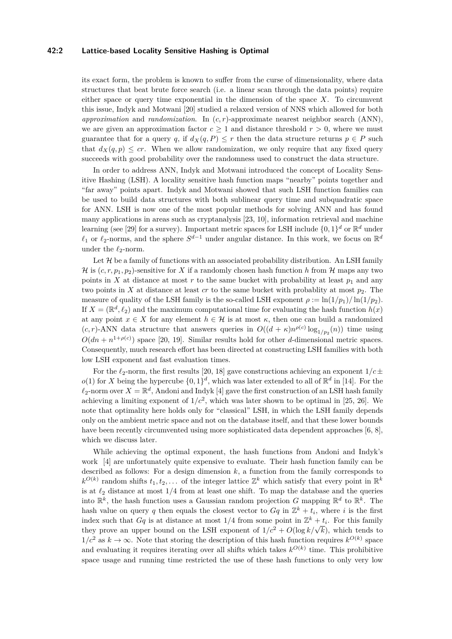#### **42:2 Lattice-based Locality Sensitive Hashing is Optimal**

its exact form, the problem is known to suffer from the curse of dimensionality, where data structures that beat brute force search (i.e. a linear scan through the data points) require either space or query time exponential in the dimension of the space  $X$ . To circumvent this issue, Indyk and Motwani [\[20\]](#page-17-1) studied a relaxed version of NNS which allowed for both *approximation* and *randomization*. In (*c, r*)-approximate nearest neighbor search (ANN), we are given an approximation factor  $c \geq 1$  and distance threshold  $r > 0$ , where we must guarantee that for a query *q*, if  $d_X(q, P) \leq r$  then the data structure returns  $p \in P$  such that  $d_X(q, p) \leq cr$ . When we allow randomization, we only require that any fixed query succeeds with good probability over the randomness used to construct the data structure.

In order to address ANN, Indyk and Motwani introduced the concept of Locality Sensitive Hashing (LSH). A locality sensitive hash function maps "nearby" points together and "far away" points apart. Indyk and Motwani showed that such LSH function families can be used to build data structures with both sublinear query time and subquadratic space for ANN. LSH is now one of the most popular methods for solving ANN and has found many applications in areas such as cryptanalysis [\[23,](#page-17-2) [10\]](#page-16-0), information retrieval and machine learning (see [\[29\]](#page-17-3) for a survey). Important metric spaces for LSH include  $\{0,1\}^d$  or  $\mathbb{R}^d$  under  $\ell_1$  or  $\ell_2$ -norms, and the sphere  $S^{d-1}$  under angular distance. In this work, we focus on  $\mathbb{R}^d$ under the  $\ell_2$ -norm.

Let  $\mathcal H$  be a family of functions with an associated probability distribution. An LSH family H is  $(c, r, p_1, p_2)$ -sensitive for X if a randomly chosen hash function h from H maps any two points in *X* at distance at most *r* to the same bucket with probability at least  $p_1$  and any two points in *X* at distance at least *cr* to the same bucket with probablity at most  $p_2$ . The measure of quality of the LSH family is the so-called LSH exponent  $\rho := \ln(1/p_1)/\ln(1/p_2)$ . If  $X = (\mathbb{R}^d, \ell_2)$  and the maximum computational time for evaluating the hash function  $h(x)$ at any point  $x \in X$  for any element  $h \in \mathcal{H}$  is at most  $\kappa$ , then one can build a randomized  $(c, r)$ -ANN data structure that answers queries in  $O((d + \kappa)n^{\rho(c)} \log_{1/p_2}(n))$  time using  $O(dn + n^{1+\rho(c)})$  space [\[20,](#page-17-1) [19\]](#page-16-1). Similar results hold for other *d*-dimensional metric spaces. Consequently, much research effort has been directed at constructing LSH families with both low LSH exponent and fast evaluation times.

For the  $\ell_2$ -norm, the first results [\[20,](#page-17-1) [18\]](#page-16-2) gave constructions achieving an exponent  $1/c\pm$  $o(1)$  for *X* being the hypercube  $\{0,1\}^d$ , which was later extended to all of  $\mathbb{R}^d$  in [\[14\]](#page-16-3). For the  $\ell_2$ -norm over  $X = \mathbb{R}^d$ , Andoni and Indyk [\[4\]](#page-16-4) gave the first construction of an LSH hash family achieving a limiting exponent of  $1/c^2$ , which was later shown to be optimal in [\[25,](#page-17-4) [26\]](#page-17-5). We note that optimality here holds only for "classical" LSH, in which the LSH family depends only on the ambient metric space and not on the database itself, and that these lower bounds have been recently circumvented using more sophisticated data dependent approaches [\[6,](#page-16-5) [8\]](#page-16-6), which we discuss later.

While achieving the optimal exponent, the hash functions from Andoni and Indyk's work [\[4\]](#page-16-4) are unfortunately quite expensive to evaluate. Their hash function family can be described as follows: For a design dimension  $k$ , a function from the family corresponds to  $k^{O(k)}$  random shifts  $t_1, t_2, \ldots$  of the integer lattice  $\mathbb{Z}^k$  which satisfy that every point in  $\mathbb{R}^k$ is at  $\ell_2$  distance at most  $1/4$  from at least one shift. To map the database and the queries into  $\mathbb{R}^k$ , the hash function uses a Gaussian random projection *G* mapping  $\mathbb{R}^d$  to  $\mathbb{R}^k$ . The hash value on query *q* then equals the closest vector to  $Gq$  in  $\mathbb{Z}^k + t_i$ , where *i* is the first index such that  $Gq$  is at distance at most  $1/4$  from some point in  $\mathbb{Z}^k + t_i$ . For this family they prove an upper bound on the LSH exponent of  $1/c^2 + O(\log k/\sqrt{k})$ , which tends to 1/ $c^2$  as  $k \to \infty$ . Note that storing the description of this hash function requires  $k^{O(k)}$  space and evaluating it requires iterating over all shifts which takes  $k^{O(k)}$  time. This prohibitive space usage and running time restricted the use of these hash functions to only very low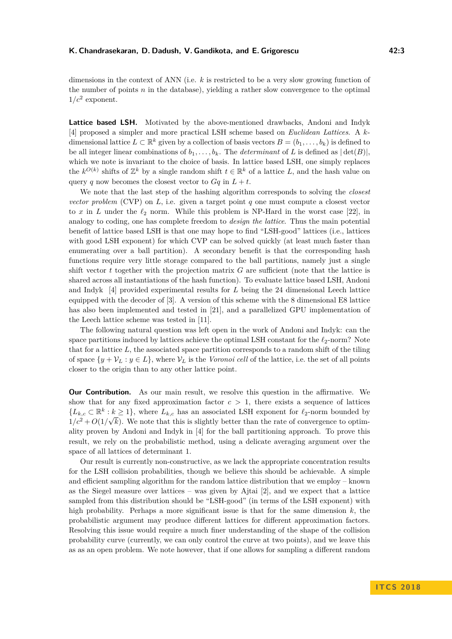dimensions in the context of ANN (i.e. *k* is restricted to be a very slow growing function of the number of points *n* in the database), yielding a rather slow convergence to the optimal  $1/c^2$  exponent.

**Lattice based LSH.** Motivated by the above-mentioned drawbacks, Andoni and Indyk [\[4\]](#page-16-4) proposed a simpler and more practical LSH scheme based on *Euclidean Lattices*. A *k*dimensional lattice  $L \subset \mathbb{R}^k$  given by a collection of basis vectors  $B = (b_1, \ldots, b_k)$  is defined to be all integer linear combinations of  $b_1, \ldots, b_k$ . The *determinant* of *L* is defined as  $|\det(B)|$ , which we note is invariant to the choice of basis. In lattice based LSH, one simply replaces the  $k^{O(k)}$  shifts of  $\mathbb{Z}^k$  by a single random shift  $t \in \mathbb{R}^k$  of a lattice *L*, and the hash value on query *q* now becomes the closest vector to  $Ga$  in  $L + t$ .

We note that the last step of the hashing algorithm corresponds to solving the *closest vector problem* (CVP) on *L*, i.e. given a target point *q* one must compute a closest vector to *x* in *L* under the  $\ell_2$  norm. While this problem is NP-Hard in the worst case [\[22\]](#page-17-6), in analogy to coding, one has complete freedom to *design the lattice*. Thus the main potential benefit of lattice based LSH is that one may hope to find "LSH-good" lattices (i.e., lattices with good LSH exponent) for which CVP can be solved quickly (at least much faster than enumerating over a ball partition). A secondary benefit is that the corresponding hash functions require very little storage compared to the ball partitions, namely just a single shift vector *t* together with the projection matrix *G* are sufficient (note that the lattice is shared across all instantiations of the hash function). To evaluate lattice based LSH, Andoni and Indyk [\[4\]](#page-16-4) provided experimental results for *L* being the 24 dimensional Leech lattice equipped with the decoder of [\[3\]](#page-16-7). A version of this scheme with the 8 dimensional E8 lattice has also been implemented and tested in [\[21\]](#page-17-7), and a parallelized GPU implementation of the Leech lattice scheme was tested in [\[11\]](#page-16-8).

The following natural question was left open in the work of Andoni and Indyk: can the space partitions induced by lattices achieve the optimal LSH constant for the  $\ell_2$ -norm? Note that for a lattice *L*, the associated space partition corresponds to a random shift of the tiling of space  $\{y + \mathcal{V}_L : y \in L\}$ , where  $\mathcal{V}_L$  is the *Voronoi cell* of the lattice, i.e. the set of all points closer to the origin than to any other lattice point.

**Our Contribution.** As our main result, we resolve this question in the affirmative. We show that for any fixed approximation factor  $c > 1$ , there exists a sequence of lattices  ${L_{k,c} \subset \mathbb{R}^k : k \geq 1},$  where  $L_{k,c}$  has an associated LSH exponent for  $\ell_2$ -norm bounded by  $1/c^2 + O(1/\sqrt{k})$ . We note that this is slightly better than the rate of convergence to optimality proven by Andoni and Indyk in [\[4\]](#page-16-4) for the ball partitioning approach. To prove this result, we rely on the probabilistic method, using a delicate averaging argument over the space of all lattices of determinant 1.

Our result is currently non-constructive, as we lack the appropriate concentration results for the LSH collision probabilities, though we believe this should be achievable. A simple and efficient sampling algorithm for the random lattice distribution that we employ – known as the Siegel measure over lattices – was given by Ajtai [\[2\]](#page-16-9), and we expect that a lattice sampled from this distribution should be "LSH-good" (in terms of the LSH exponent) with high probability. Perhaps a more significant issue is that for the same dimension *k*, the probabilistic argument may produce different lattices for different approximation factors. Resolving this issue would require a much finer understanding of the shape of the collision probability curve (currently, we can only control the curve at two points), and we leave this as as an open problem. We note however, that if one allows for sampling a different random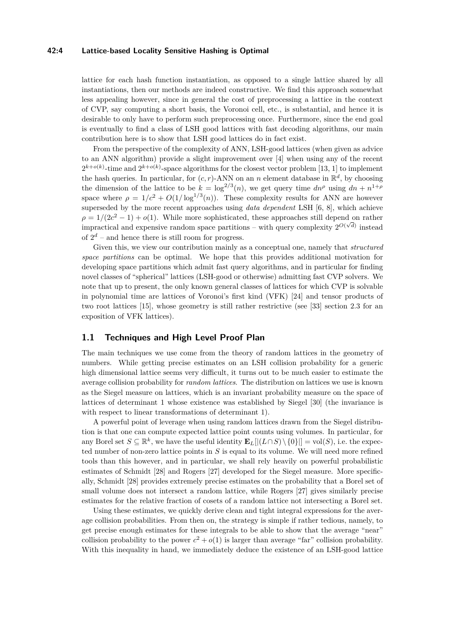#### **42:4 Lattice-based Locality Sensitive Hashing is Optimal**

lattice for each hash function instantiation, as opposed to a single lattice shared by all instantiations, then our methods are indeed constructive. We find this approach somewhat less appealing however, since in general the cost of preprocessing a lattice in the context of CVP, say computing a short basis, the Voronoi cell, etc., is substantial, and hence it is desirable to only have to perform such preprocessing once. Furthermore, since the end goal is eventually to find a class of LSH good lattices with fast decoding algorithms, our main contribution here is to show that LSH good lattices do in fact exist.

From the perspective of the complexity of ANN, LSH-good lattices (when given as advice to an ANN algorithm) provide a slight improvement over [\[4\]](#page-16-4) when using any of the recent  $2^{k+o(k)}$ -time and  $2^{k+o(k)}$ -space algorithms for the closest vector problem [\[13,](#page-16-10) [1\]](#page-16-11) to implement the hash queries. In particular, for  $(c, r)$ -ANN on an *n* element database in  $\mathbb{R}^d$ , by choosing the dimension of the lattice to be  $k = \log^{2/3}(n)$ , we get query time  $dn^{\rho}$  using  $dn + n^{1+\rho}$ space where  $\rho = 1/c^2 + O(1/\log^{1/3}(n))$ . These complexity results for ANN are however superseded by the more recent approaches using *data dependent* LSH [\[6,](#page-16-5) [8\]](#page-16-6), which achieve  $\rho = 1/(2c^2 - 1) + o(1)$ . While more sophisticated, these approaches still depend on rather impractical and expensive random space partitions – with query complexity  $2^{O(\sqrt{d})}$  instead of  $2^d$  – and hence there is still room for progress.

Given this, we view our contribution mainly as a conceptual one, namely that *structured space partitions* can be optimal. We hope that this provides additional motivation for developing space partitions which admit fast query algorithms, and in particular for finding novel classes of "spherical" lattices (LSH-good or otherwise) admitting fast CVP solvers. We note that up to present, the only known general classes of lattices for which CVP is solvable in polynomial time are lattices of Voronoi's first kind (VFK) [\[24\]](#page-17-8) and tensor products of two root lattices [\[15\]](#page-16-12), whose geometry is still rather restrictive (see [\[33\]](#page-17-9) section 2.3 for an exposition of VFK lattices).

## **1.1 Techniques and High Level Proof Plan**

The main techniques we use come from the theory of random lattices in the geometry of numbers. While getting precise estimates on an LSH collision probability for a generic high dimensional lattice seems very difficult, it turns out to be much easier to estimate the average collision probability for *random lattices*. The distribution on lattices we use is known as the Siegel measure on lattices, which is an invariant probability measure on the space of lattices of determinant 1 whose existence was established by Siegel [\[30\]](#page-17-10) (the invariance is with respect to linear transformations of determinant 1).

A powerful point of leverage when using random lattices drawn from the Siegel distribution is that one can compute expected lattice point counts using volumes. In particular, for any Borel set  $S \subseteq \mathbb{R}^k$ , we have the useful identity  $\mathbf{E}_L[|(L \cap S) \setminus \{0\}] = \text{vol}(S)$ , i.e. the expected number of non-zero lattice points in *S* is equal to its volume. We will need more refined tools than this however, and in particular, we shall rely heavily on powerful probabilistic estimates of Schmidt [\[28\]](#page-17-11) and Rogers [\[27\]](#page-17-12) developed for the Siegel measure. More specifically, Schmidt [\[28\]](#page-17-11) provides extremely precise estimates on the probability that a Borel set of small volume does not intersect a random lattice, while Rogers [\[27\]](#page-17-12) gives similarly precise estimates for the relative fraction of cosets of a random lattice not intersecting a Borel set.

Using these estimates, we quickly derive clean and tight integral expressions for the average collision probabilities. From then on, the strategy is simple if rather tedious, namely, to get precise enough estimates for these integrals to be able to show that the average "near" collision probability to the power  $c^2 + o(1)$  is larger than average "far" collision probability. With this inequality in hand, we immediately deduce the existence of an LSH-good lattice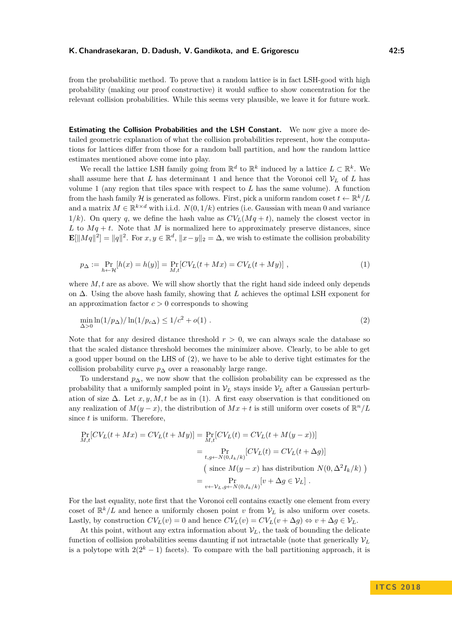from the probabilitic method. To prove that a random lattice is in fact LSH-good with high probability (making our proof constructive) it would suffice to show concentration for the relevant collision probabilities. While this seems very plausible, we leave it for future work.

**Estimating the Collision Probabilities and the LSH Constant.** We now give a more detailed geometric explanation of what the collision probabilities represent, how the computations for lattices differ from those for a random ball partition, and how the random lattice estimates mentioned above come into play.

We recall the lattice LSH family going from  $\mathbb{R}^d$  to  $\mathbb{R}^k$  induced by a lattice  $L \subset \mathbb{R}^k$ . We shall assume here that *L* has determinant 1 and hence that the Voronoi cell  $V_L$  of *L* has volume 1 (any region that tiles space with respect to *L* has the same volume). A function from the hash family H is generated as follows. First, pick a uniform random coset  $t \leftarrow \mathbb{R}^k / L$ and a matrix  $M \in \mathbb{R}^{k \times d}$  with i.i.d.  $N(0, 1/k)$  entries (i.e. Gaussian with mean 0 and variance 1/k). On query q, we define the hash value as  $CV<sub>L</sub>(Mq + t)$ , namely the closest vector in *L* to  $Mq + t$ . Note that *M* is normalized here to approximately preserve distances, since  $\mathbf{E}[\|Mq\|^2] = \|q\|^2$ . For  $x, y \in \mathbb{R}^d$ ,  $\|x - y\|_2 = \Delta$ , we wish to estimate the collision probability

<span id="page-4-1"></span>
$$
p_{\Delta} := \Pr_{h \leftarrow \mathcal{H}}[h(x) = h(y)] = \Pr_{M,t}[CV_L(t + Mx) = CV_L(t + My)],
$$
\n(1)

where *M*, t are as above. We will show shortly that the right hand side indeed only depends on ∆. Using the above hash family, showing that *L* achieves the optimal LSH exponent for an approximation factor  $c > 0$  corresponds to showing

<span id="page-4-0"></span>
$$
\min_{\Delta > 0} \ln(1/p_{\Delta}) / \ln(1/p_{c\Delta}) \le 1/c^2 + o(1) . \tag{2}
$$

Note that for any desired distance threshold  $r > 0$ , we can always scale the database so that the scaled distance threshold becomes the minimizer above. Clearly, to be able to get a good upper bound on the LHS of [\(2\)](#page-4-0), we have to be able to derive tight estimates for the collision probability curve  $p_{\Delta}$  over a reasonably large range.

To understand  $p_{\Delta}$ , we now show that the collision probability can be expressed as the probability that a uniformly sampled point in  $V_L$  stays inside  $V_L$  after a Gaussian perturbation of size  $\Delta$ . Let *x, y, M, t* be as in [\(1\)](#page-4-1). A first easy observation is that conditioned on any realization of  $M(y-x)$ , the distribution of  $Mx + t$  is still uniform over cosets of  $\mathbb{R}^n/L$ since *t* is uniform. Therefore,

$$
\Pr_{M,t}[CV_L(t+Mx) = CV_L(t+My)] = \Pr_{M,t}[CV_L(t) = CV_L(t+M(y-x))]
$$
  
\n
$$
= \Pr_{t,g\leftarrow N(0,I_k/k)}[CV_L(t) = CV_L(t+\Delta g)]
$$
  
\n( since  $M(y-x)$  has distribution  $N(0, \Delta^2 I_k/k)$ )  
\n
$$
= \Pr_{v\leftarrow \mathcal{V}_L,g\leftarrow N(0,I_k/k)}[v+\Delta g \in \mathcal{V}_L].
$$

For the last equality, note first that the Voronoi cell contains exactly one element from every coset of  $\mathbb{R}^k/L$  and hence a uniformly chosen point *v* from  $V_L$  is also uniform over cosets. Lastly, by construction  $CV_L(v) = 0$  and hence  $CV_L(v) = CV_L(v + \Delta g) \Leftrightarrow v + \Delta g \in V_L$ .

At this point, without any extra information about  $V_L$ , the task of bounding the delicate function of collision probabilities seems daunting if not intractable (note that generically  $\mathcal{V}_L$ is a polytope with  $2(2<sup>k</sup> - 1)$  facets). To compare with the ball partitioning approach, it is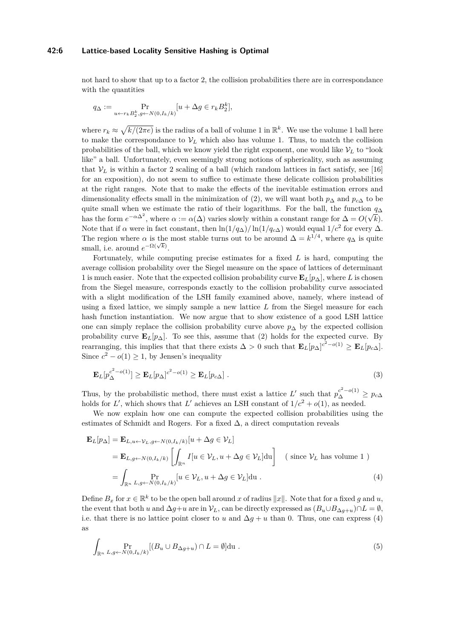#### **42:6 Lattice-based Locality Sensitive Hashing is Optimal**

not hard to show that up to a factor 2, the collision probabilities there are in correspondance with the quantities

$$
q_{\Delta} := \Pr_{u \leftarrow r_k B_2^k, g \leftarrow N(0, I_k/k)}[u + \Delta g \in r_k B_2^k],
$$

where  $r_k \approx \sqrt{k/(2\pi e)}$  is the radius of a ball of volume 1 in  $\mathbb{R}^k$ . We use the volume 1 ball here to make the correspondance to  $V_L$  which also has volume 1. Thus, to match the collision probabilities of the ball, which we know yield the right exponent, one would like  $V_L$  to "look" like" a ball. Unfortunately, even seemingly strong notions of sphericality, such as assuming that  $V_L$  is within a factor 2 scaling of a ball (which random lattices in fact satisfy, see [\[16\]](#page-16-13) for an exposition), do not seem to suffice to estimate these delicate collision probabilities at the right ranges. Note that to make the effects of the inevitable estimation errors and dimensionality effects small in the minimization of [\(2\)](#page-4-0), we will want both  $p_{\Delta}$  and  $p_{c\Delta}$  to be quite small when we estimate the ratio of their logarithms. For the ball, the function  $q_{\Delta}$ has the form  $e^{-\alpha \Delta^2}$ , where  $\alpha := \alpha(\Delta)$  varies slowly within a constant range for  $\Delta = O(\sqrt{k})$ . Note that if  $\alpha$  were in fact constant, then  $\ln(1/q_{\Delta})/\ln(1/q_{c\Delta})$  would equal  $1/c^2$  for every  $\Delta$ . The region where  $\alpha$  is the most stable turns out to be around  $\Delta = k^{1/4}$ , where  $q_{\Delta}$  is quite small, i.e. around  $e^{-\Omega(\sqrt{k})}$ .

Fortunately, while computing precise estimates for a fixed *L* is hard, computing the average collision probability over the Siegel measure on the space of lattices of determinant 1 is much easier. Note that the expected collision probability curve  $\mathbf{E}_L[p_\Delta]$ , where *L* is chosen from the Siegel measure, corresponds exactly to the collision probability curve associated with a slight modification of the LSH family examined above, namely, where instead of using a fixed lattice, we simply sample a new lattice *L* from the Siegel measure for each hash function instantiation. We now argue that to show existence of a good LSH lattice one can simply replace the collision probability curve above *p*<sup>∆</sup> by the expected collision probability curve  $\mathbf{E}_L[p_\Delta]$ . To see this, assume that [\(2\)](#page-4-0) holds for the expected curve. By rearranging, this implies that that there exists  $\Delta > 0$  such that  $\mathbf{E}_L[p_\Delta]^{c^2 - o(1)} \geq \mathbf{E}_L[p_{c\Delta}]$ . Since  $c^2 - o(1) \geq 1$ , by Jensen's inequality

<span id="page-5-0"></span>
$$
\mathbf{E}_L[p_{\Delta}^{c^2 - o(1)}] \ge \mathbf{E}_L[p_{\Delta}]^{c^2 - o(1)} \ge \mathbf{E}_L[p_{c\Delta}]. \tag{3}
$$

Thus, by the probabilistic method, there must exist a lattice  $L'$  such that  $p_{\Delta}^{c^2 - o(1)} \ge p_{c\Delta}$ holds for *L'*, which shows that *L'* achieves an LSH constant of  $1/c^2 + o(1)$ , as needed.

We now explain how one can compute the expected collision probabilities using the estimates of Schmidt and Rogers. For a fixed  $\Delta$ , a direct computation reveals

$$
\mathbf{E}_{L}[p_{\Delta}] = \mathbf{E}_{L,u \leftarrow \mathcal{V}_{L}, g \leftarrow N(0, I_{k}/k)} [u + \Delta g \in \mathcal{V}_{L}]
$$
\n
$$
= \mathbf{E}_{L,g \leftarrow N(0, I_{k}/k)} \left[ \int_{\mathbb{R}^{n}} I[u \in \mathcal{V}_{L}, u + \Delta g \in \mathcal{V}_{L}] \text{du} \right] \quad \text{( since } \mathcal{V}_{L} \text{ has volume 1 } \text{)}
$$
\n
$$
= \int_{\mathbb{R}^{n}} \Pr_{L,g \leftarrow N(0, I_{k}/k)} [u \in \mathcal{V}_{L}, u + \Delta g \in \mathcal{V}_{L}] \text{du}. \tag{4}
$$

Define  $B_x$  for  $x \in \mathbb{R}^k$  to be the open ball around *x* of radius  $||x||$ . Note that for a fixed *g* and *u*, the event that both *u* and  $\Delta g+u$  are in  $V_L$ , can be directly expressed as  $(B_u \cup B_{\Delta g+u}) \cap L = \emptyset$ , i.e. that there is no lattice point closer to *u* and  $\Delta g + u$  than 0. Thus, one can express [\(4\)](#page-5-0) as

<span id="page-5-1"></span>
$$
\int_{\mathbb{R}^n} \Pr_{L,g \leftarrow N(0, I_k/k)} [(B_u \cup B_{\Delta g + u}) \cap L = \emptyset] du .
$$
\n(5)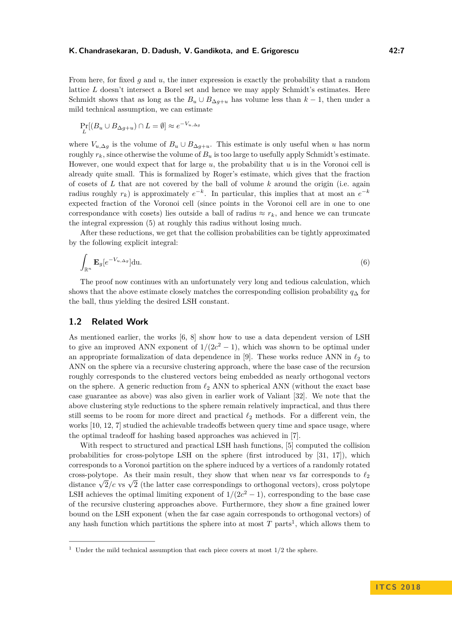From here, for fixed *g* and *u*, the inner expression is exactly the probability that a random lattice *L* doesn't intersect a Borel set and hence we may apply Schmidt's estimates. Here Schmidt shows that as long as the  $B_u \cup B_{\Delta g+u}$  has volume less than  $k-1$ , then under a mild technical assumption, we can estimate

$$
\Pr_L[(B_u \cup B_{\Delta g + u}) \cap L = \emptyset] \approx e^{-V_{u,\Delta g}}
$$

where  $V_{u,\Delta g}$  is the volume of  $B_u \cup B_{\Delta g+u}$ . This estimate is only useful when *u* has norm roughly  $r_k$ , since otherwise the volume of  $B_u$  is too large to usefully apply Schmidt's estimate. However, one would expect that for large *u*, the probability that *u* is in the Voronoi cell is already quite small. This is formalized by Roger's estimate, which gives that the fraction of cosets of *L* that are not covered by the ball of volume *k* around the origin (i.e. again radius roughly  $r_k$ ) is approximately  $e^{-k}$ . In particular, this implies that at most an  $e^{-k}$ expected fraction of the Voronoi cell (since points in the Voronoi cell are in one to one correspondance with cosets) lies outside a ball of radius  $\approx r_k$ , and hence we can truncate the integral expression [\(5\)](#page-5-1) at roughly this radius without losing much.

After these reductions, we get that the collision probabilities can be tightly approximated by the following explicit integral:

$$
\int_{\mathbb{R}^n} \mathbf{E}_g[e^{-V_{u,\Delta g}}] \mathrm{du}.
$$
\n(6)

The proof now continues with an unfortunately very long and tedious calculation, which shows that the above estimate closely matches the corresponding collision probability *q*<sup>∆</sup> for the ball, thus yielding the desired LSH constant.

## **1.2 Related Work**

As mentioned earlier, the works [\[6,](#page-16-5) [8\]](#page-16-6) show how to use a data dependent version of LSH to give an improved ANN exponent of  $1/(2c^2-1)$ , which was shown to be optimal under an appropriate formalization of data dependence in [\[9\]](#page-16-14). These works reduce ANN in  $\ell_2$  to ANN on the sphere via a recursive clustering approach, where the base case of the recursion roughly corresponds to the clustered vectors being embedded as nearly orthogonal vectors on the sphere. A generic reduction from  $\ell_2$  ANN to spherical ANN (without the exact base case guarantee as above) was also given in earlier work of Valiant [\[32\]](#page-17-13). We note that the above clustering style reductions to the sphere remain relatively impractical, and thus there still seems to be room for more direct and practical  $\ell_2$  methods. For a different vein, the works [\[10,](#page-16-0) [12,](#page-16-15) [7\]](#page-16-16) studied the achievable tradeoffs between query time and space usage, where the optimal tradeoff for hashing based approaches was achieved in [\[7\]](#page-16-16).

With respect to structured and practical LSH hash functions, [\[5\]](#page-16-17) computed the collision probabilities for cross-polytope LSH on the sphere (first introduced by [\[31,](#page-17-14) [17\]](#page-16-18)), which corresponds to a Voronoi partition on the sphere induced by a vertices of a randomly rotated cross-polytope. As their main result, they show that when near vs far corresponds to  $\ell_2$ distance  $\sqrt{2}/c$  vs  $\sqrt{2}$  (the latter case correspondings to orthogonal vectors), cross polytope LSH achieves the optimal limiting exponent of  $1/(2c^2 - 1)$ , corresponding to the base case of the recursive clustering approaches above. Furthermore, they show a fine grained lower bound on the LSH exponent (when the far case again corresponds to orthogonal vectors) of any hash function which partitions the sphere into at most  $T$  parts<sup>[1](#page-6-0)</sup>, which allows them to

<span id="page-6-0"></span><sup>&</sup>lt;sup>1</sup> Under the mild technical assumption that each piece covers at most  $1/2$  the sphere.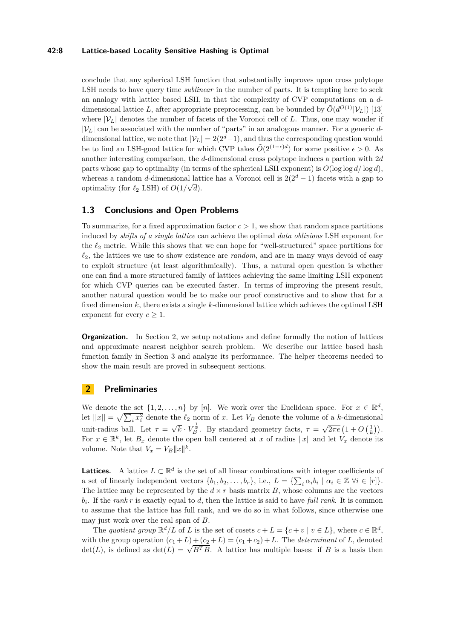#### **42:8 Lattice-based Locality Sensitive Hashing is Optimal**

conclude that any spherical LSH function that substantially improves upon cross polytope LSH needs to have query time *sublinear* in the number of parts. It is tempting here to seek an analogy with lattice based LSH, in that the complexity of CVP computations on a *d*dimensional lattice L, after appropriate preprocessing, can be bounded by  $\tilde{O}(d^{\text{O}(1)}|\mathcal{V}_L|)$  [\[13\]](#page-16-10) where  $|\mathcal{V}_L|$  denotes the number of facets of the Voronoi cell of *L*. Thus, one may wonder if  $|\mathcal{V}_L|$  can be associated with the number of "parts" in an analogous manner. For a generic ddimensional lattice, we note that  $|\mathcal{V}_L| = 2(2^d-1)$ , and thus the corresponding question would be to find an LSH-good lattice for which CVP takes  $\tilde{O}(2^{(1-\epsilon)d})$  for some positive  $\epsilon > 0$ . As another interesting comparison, the *d*-dimensional cross polytope induces a partion with 2*d* parts whose gap to optimality (in terms of the spherical LSH exponent) is  $O(\log \log d / \log d)$ , whereas a random *d*-dimensional lattice has a Voronoi cell is  $2(2^d - 1)$  facets with a gap to optimality (for  $\ell_2$  LSH) of  $O(1/\sqrt{d})$ .

## **1.3 Conclusions and Open Problems**

To summarize, for a fixed approximation factor  $c > 1$ , we show that random space partitions induced by *shifts of a single lattice* can achieve the optimal *data oblivious* LSH exponent for the  $\ell_2$  metric. While this shows that we can hope for "well-structured" space partitions for  $\ell_2$ , the lattices we use to show existence are *random*, and are in many ways devoid of easy to exploit structure (at least algorithmically). Thus, a natural open question is whether one can find a more structured family of lattices achieving the same limiting LSH exponent for which CVP queries can be executed faster. In terms of improving the present result, another natural question would be to make our proof constructive and to show that for a fixed dimension *k*, there exists a single *k*-dimensional lattice which achieves the optimal LSH exponent for every  $c > 1$ .

**Organization.** In Section [2,](#page-7-0) we setup notations and define formally the notion of lattices and approximate nearest neighbor search problem. We describe our lattice based hash function family in Section [3](#page-8-0) and analyze its performance. The helper theorems needed to show the main result are proved in subsequent sections.

## <span id="page-7-0"></span>**2 Preliminaries**

We denote the set  $\{1, 2, \ldots, n\}$  by [*n*]. We work over the Euclidean space. For  $x \in \mathbb{R}^d$ , let  $||x|| = \sqrt{\sum_i x_i^2}$  denote the  $\ell_2$  norm of *x*. Let  $V_B$  denote the volume of a *k*-dimensional unit-radius ball. Let  $\tau =$ √  $\overline{k} \cdot V_B^{\frac{1}{k}}$ . By standard geometry facts,  $\tau =$  $\sqrt{2\pi e}\left(1+O\left(\frac{1}{k}\right)\right).$ For  $x \in \mathbb{R}^k$ , let  $B_x$  denote the open ball centered at x of radius  $||x||$  and let  $V_x$  denote its volume. Note that  $V_x = V_B ||x||^k$ .

**Lattices.** A lattice  $L \subset \mathbb{R}^d$  is the set of all linear combinations with integer coefficients of a set of linearly independent vectors  $\{b_1, b_2, \ldots, b_r\}$ , i.e.,  $L = \{\sum_i \alpha_i b_i \mid \alpha_i \in \mathbb{Z} \,\forall i \in [r]\}.$ The lattice may be represented by the  $d \times r$  basis matrix  $B$ , whose columns are the vectors *bi* . If the *rank r* is exactly equal to *d*, then the lattice is said to have *full rank*. It is common to assume that the lattice has full rank, and we do so in what follows, since otherwise one may just work over the real span of *B*.

The *quotient group*  $\mathbb{R}^d/L$  of *L* is the set of cosets  $c + L = \{c + v \mid v \in L\}$ , where  $c \in \mathbb{R}^d$ , with the group operation  $(c_1 + L) + (c_2 + L) = (c_1 + c_2) + L$ . The *determinant* of *L*, denoted with the group operation  $(c_1 + L) + (c_2 + L) = (c_1 + c_2) + L$ . The *determinant* of *L*, denoted  $det(L)$ , is defined as  $det(L) = \sqrt{B^T B}$ . A lattice has multiple bases: if *B* is a basis then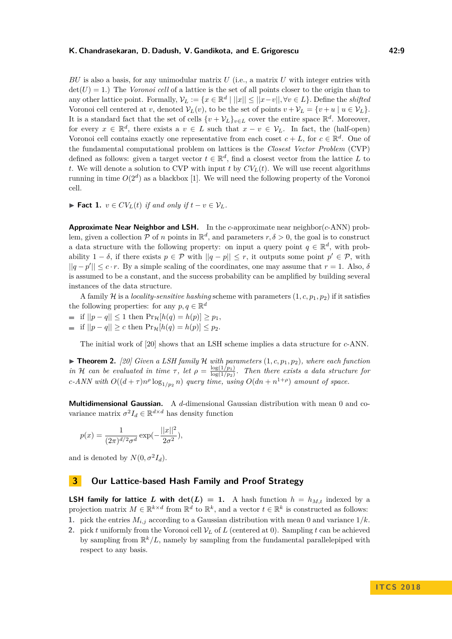*BU* is also a basis, for any unimodular matrix *U* (i.e., a matrix *U* with integer entries with  $\det(U) = 1$ .) The *Voronoi cell* of a lattice is the set of all points closer to the origin than to any other lattice point. Formally,  $V_L := \{x \in \mathbb{R}^d \mid ||x|| \le ||x - v||, \forall v \in L\}$ . Define the *shifted* Voronoi cell centered at *v*, denoted  $V_L(v)$ , to be the set of points  $v + V_L = \{v + u \mid u \in V_L\}.$ It is a standard fact that the set of cells  $\{v + \mathcal{V}_L\}_{v \in L}$  cover the entire space  $\mathbb{R}^d$ . Moreover, for every  $x \in \mathbb{R}^d$ , there exists a  $v \in L$  such that  $x - v \in \mathcal{V}_L$ . In fact, the (half-open) Voronoi cell contains exactly one representative from each coset  $c + L$ , for  $c \in \mathbb{R}^d$ . One of the fundamental computational problem on lattices is the *Closest Vector Problem* (CVP) defined as follows: given a target vector  $t \in \mathbb{R}^d$ , find a closest vector from the lattice *L* to *t*. We will denote a solution to CVP with input *t* by  $CV<sub>L</sub>(t)$ . We will use recent algorithms running in time  $O(2^d)$  as a blackbox [\[1\]](#page-16-11). We will need the following property of the Voronoi cell.

**► Fact 1.**  $v \in CV_L(t)$  *if and only if*  $t - v \in V_L$ *.* 

**Approximate Near Neighbor and LSH.** In the *c*-approximate near neighbor(*c*-ANN) problem, given a collection  $P$  of *n* points in  $\mathbb{R}^d$ , and parameters  $r, \delta > 0$ , the goal is to construct a data structure with the following property: on input a query point  $q \in \mathbb{R}^d$ , with probability  $1 - \delta$ , if there exists  $p \in \mathcal{P}$  with  $||q - p|| \leq r$ , it outputs some point  $p' \in \mathcal{P}$ , with  $||q-p'|| \leq c \cdot r$ . By a simple scaling of the coordinates, one may assume that  $r = 1$ . Also,  $\delta$ is assumed to be a constant, and the success probability can be amplified by building several instances of the data structure.

A family H is a *locality-sensitive hashing* scheme with parameters  $(1, c, p_1, p_2)$  if it satisfies the following properties: for any  $p, q \in \mathbb{R}^d$ 

 $\leq$  if  $||p - q|| \leq 1$  then  $Pr_{\mathcal{H}}[h(q) = h(p)] \geq p_1$ ,  $\blacksquare$  if  $||p - q|| \ge c$  then  $\Pr_{\mathcal{H}}[h(q) = h(p)] \le p_2$ .

The initial work of [\[20\]](#page-17-1) shows that an LSH scheme implies a data structure for *c*-ANN.

 $\triangleright$  **Theorem 2.** [\[20\]](#page-17-1) Given a LSH family H with parameters  $(1, c, p_1, p_2)$ , where each function *in* H *can be evaluated in time*  $\tau$ , *let*  $\rho = \frac{\log(1/p_1)}{\log(1/p_2)}$  $\frac{\log(1/p_1)}{\log(1/p_2)}$ . Then there exists a data structure for *c*-*ANN* with  $O((d + \tau)n^{\rho} \log_{1/p_2} n)$  *query time, using*  $O(dn + n^{1+\rho})$  *amount of space.* 

**Multidimensional Gaussian.** A *d*-dimensional Gaussian distribution with mean 0 and covariance matrix  $\sigma^2 I_d \in \mathbb{R}^{d \times d}$  has density function

$$
p(x) = \frac{1}{(2\pi)^{d/2}\sigma^d} \exp(-\frac{||x||^2}{2\sigma^2}),
$$

and is denoted by  $N(0, \sigma^2 I_d)$ .

# <span id="page-8-0"></span>**3 Our Lattice-based Hash Family and Proof Strategy**

**LSH family for lattice** *L* with  $det(L) = 1$ . A hash function  $h = h_{M,t}$  indexed by a projection matrix  $M \in \mathbb{R}^{k \times d}$  from  $\mathbb{R}^d$  to  $\mathbb{R}^k$ , and a vector  $t \in \mathbb{R}^k$  is constructed as follows:

**1.** pick the entries  $M_{i,j}$  according to a Gaussian distribution with mean 0 and variance  $1/k$ .

**2.** pick *t* uniformly from the Voronoi cell  $V_L$  of *L* (centered at 0). Sampling *t* can be achieved by sampling from  $\mathbb{R}^k/L$ , namely by sampling from the fundamental parallelepiped with respect to any basis.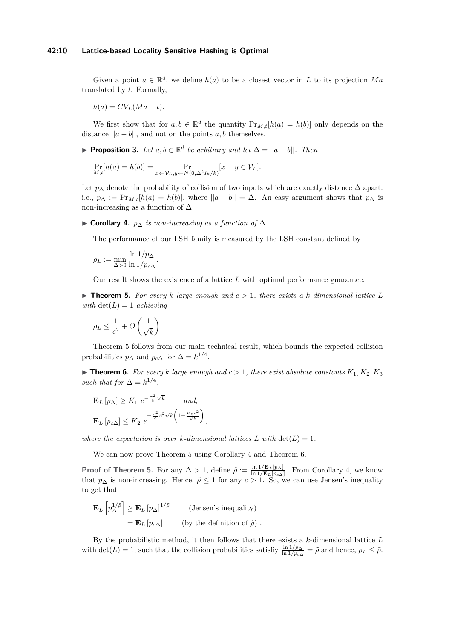#### **42:10 Lattice-based Locality Sensitive Hashing is Optimal**

Given a point  $a \in \mathbb{R}^d$ , we define  $h(a)$  to be a closest vector in *L* to its projection Ma translated by *t*. Formally,

 $h(a) = CV<sub>L</sub>(Ma + t).$ 

We first show that for  $a, b \in \mathbb{R}^d$  the quantity  $Pr_{M,t}[h(a) = h(b)]$  only depends on the distance  $||a - b||$ , and not on the points *a*, *b* themselves.

<span id="page-9-3"></span>**► Proposition 3.** *Let*  $a, b \in \mathbb{R}^d$  *be arbitrary and let*  $\Delta = ||a - b||$ *. Then* 

$$
\Pr_{M,t}[h(a) = h(b)] = \Pr_{x \leftarrow \mathcal{V}_L, y \leftarrow N(0, \Delta^2 I_k / k)}[x + y \in \mathcal{V}_L].
$$

Let  $p_{\Delta}$  denote the probability of collision of two inputs which are exactly distance  $\Delta$  apart. i.e.,  $p_{\Delta} := \Pr_{M,t}[h(a) = h(b)],$  where  $||a - b|| = \Delta$ . An easy argument shows that  $p_{\Delta}$  is non-increasing as a function of  $\Delta$ .

<span id="page-9-1"></span> $\triangleright$  **Corollary 4.** *p*∆ *is non-increasing as a function of*  $\Delta$ *.* 

The performance of our LSH family is measured by the LSH constant defined by

$$
\rho_L := \min_{\Delta>0} \frac{\ln 1/p_{\Delta}}{\ln 1/p_{c\Delta}}.
$$

Our result shows the existence of a lattice *L* with optimal performance guarantee.

<span id="page-9-0"></span> $\triangleright$  **Theorem 5.** For every *k* large enough and  $c > 1$ , there exists a *k*-dimensional lattice L *with*  $det(L) = 1$  *achieving* 

$$
\rho_L \le \frac{1}{c^2} + O\left(\frac{1}{\sqrt{k}}\right).
$$

Theorem [5](#page-9-0) follows from our main technical result, which bounds the expected collision probabilities  $p_{\Delta}$  and  $p_{c\Delta}$  for  $\Delta = k^{1/4}$ .

<span id="page-9-2"></span> $\triangleright$  **Theorem 6.** For every *k* large enough and  $c > 1$ , there exist absolute constants  $K_1, K_2, K_3$ *such that for*  $\Delta = k^{1/4}$ ,

$$
\mathbf{E}_{L} [p_{\Delta}] \ge K_1 e^{-\frac{\tau^2}{8}\sqrt{k}} \quad \text{and,}
$$

$$
\mathbf{E}_{L} [p_{c\Delta}] \le K_2 e^{-\frac{\tau^2}{8}c^2\sqrt{k}\left(1 - \frac{K_3 c^2}{\sqrt{k}}\right)}
$$

*where the expectation is over k*-dimensional lattices *L* with  $det(L) = 1$ .

*,*

We can now prove Theorem [5](#page-9-0) using Corollary [4](#page-9-1) and Theorem [6.](#page-9-2)

**Proof of Theorem [5.](#page-9-0)** For any  $\Delta > 1$ , define  $\tilde{\rho} := \frac{\ln 1/\mathbf{E}_L[p_\Delta]}{\ln 1/\mathbf{E}_L[p_\Delta]}$  $\frac{\ln 1/\mathbf{E}_L[p_\Delta]}{\ln 1/\mathbf{E}_L[p_\alpha]}$ . From Corollary [4,](#page-9-1) we know that  $p_{\Delta}$  is non-increasing. Hence,  $\tilde{\rho} \leq 1$  for any  $c > 1$ . So, we can use Jensen's inequality to get that

$$
\mathbf{E}_{L} \left[ p_{\Delta}^{1/\tilde{\rho}} \right] \ge \mathbf{E}_{L} \left[ p_{\Delta} \right]^{1/\tilde{\rho}} \qquad \text{(Jensen's inequality)}\n= \mathbf{E}_{L} \left[ p_{c\Delta} \right] \qquad \text{(by the definition of } \tilde{\rho}) .
$$

By the probabilistic method, it then follows that there exists a *k*-dimensional lattice *L* with  $\det(L) = 1$ , such that the collision probabilities satisfiy  $\frac{\ln 1/p_{\Delta}}{\ln 1/p_{c\Delta}} = \tilde{\rho}$  and hence,  $\rho_L \leq \tilde{\rho}$ .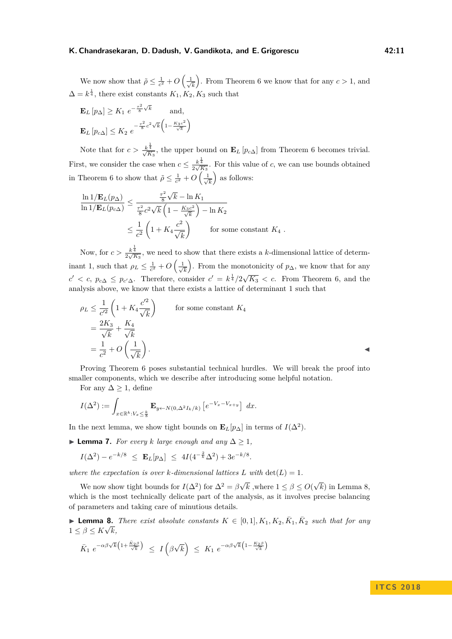We now show that  $\tilde{\rho} \leq \frac{1}{c^2} + O\left(\frac{1}{\sqrt{c}}\right)$ *k* ). From Theorem [6](#page-9-2) we know that for any  $c > 1$ , and  $\Delta = k^{\frac{1}{4}}$ , there exist constants  $K_1, K_2, K_3$  such that

$$
\mathbf{E}_{L}[p_{\Delta}] \geq K_1 e^{-\frac{\tau^2}{8}\sqrt{k}} \quad \text{and,}
$$

$$
\mathbf{E}_{L}[p_{c\Delta}] \leq K_2 e^{-\frac{\tau^2}{8}c^2\sqrt{k}\left(1 - \frac{K_3 c^2}{\sqrt{k}}\right)}
$$

Note that for  $c > \frac{k^{\frac{1}{4}}}{\sqrt{K_3}}$ , the upper bound on  $\mathbf{E}_L[p_{c\Delta}]$  from Theorem [6](#page-9-2) becomes trivial. First, we consider the case when  $c \leq \frac{k^{\frac{1}{4}}}{2\sqrt{K_3}}$ . For this value of *c*, we can use bounds obtained in Theorem [6](#page-9-2) to show that  $\tilde{\rho} \leq \frac{1}{c^2} + O\left(\frac{1}{\sqrt{\epsilon}}\right)$ *k* as follows:

$$
\frac{\ln 1/\mathbf{E}_L(p_\Delta)}{\ln 1/\mathbf{E}_L(p_{c\Delta})} \le \frac{\frac{\tau^2}{8}\sqrt{k} - \ln K_1}{\frac{\tau^2}{8}c^2\sqrt{k}\left(1 - \frac{K_3c^2}{\sqrt{k}}\right) - \ln K_2}
$$
  

$$
\le \frac{1}{c^2}\left(1 + K_4\frac{c^2}{\sqrt{k}}\right) \qquad \text{for some constant } K_4.
$$

Now, for  $c > \frac{k^{\frac{1}{4}}}{2\sqrt{K_3}}$ , we need to show that there exists a *k*-dimensional lattice of determinant 1, such that  $\rho_L \leq \frac{1}{c^2} + O\left(\frac{1}{\sqrt{c}}\right)$ *k* ). From the monotonicity of  $p_{\Delta}$ , we know that for any  $c' < c$ ,  $p_{c\Delta} \leq p_{c'\Delta}$ . Therefore, consider  $c' = k^{\frac{1}{4}}/2\sqrt{K_3} < c$ . From Theorem [6,](#page-9-2) and the analysis above, we know that there exists a lattice of determinant 1 such that

$$
\rho_L \le \frac{1}{c'^2} \left( 1 + K_4 \frac{c'^2}{\sqrt{k}} \right) \qquad \text{for some constant } K_4
$$
  
=  $\frac{2K_3}{\sqrt{k}} + \frac{K_4}{\sqrt{k}}$   
=  $\frac{1}{c^2} + O\left(\frac{1}{\sqrt{k}}\right).$ 

Proving Theorem [6](#page-9-2) poses substantial technical hurdles. We will break the proof into smaller components, which we describe after introducing some helpful notation.

For any  $\Delta \geq 1$ , define

$$
I(\Delta^2) := \int_{x \in \mathbb{R}^k : V_x \leq \frac{k}{8}} \mathbf{E}_{y \leftarrow N(0, \Delta^2 I_k / k)} \left[ e^{-V_x - V_{x+y}} \right] dx.
$$

In the next lemma, we show tight bounds on  $\mathbf{E}_L[p_\Delta]$  in terms of  $I(\Delta^2)$ .

<span id="page-10-1"></span>**► Lemma 7.** *For every k large enough and any*  $\Delta > 1$ *,* 

$$
I(\Delta^2) - e^{-k/8} \leq \mathbf{E}_L[p_\Delta] \leq 4I(4^{-\frac{2}{k}}\Delta^2) + 3e^{-k/8}.
$$

*where the expectation is over k-dimensional lattices*  $L$  *with*  $det(L) = 1$ *.* 

We now show tight bounds for  $I(\Delta^2)$  for  $\Delta^2 = \beta \sqrt{ }$ *k* ,where  $1 \leq \beta \leq O$ √ *k*) in Lemma [8,](#page-10-0) which is the most technically delicate part of the analysis, as it involves precise balancing of parameters and taking care of minutious details.

<span id="page-10-0"></span>► **Lemma 8.** *There exist absolute constants*  $K \in [0,1], K_1, K_2, \overline{K}_1, \overline{K}_2$  *such that for any*  $1 \leq \beta \leq K\sqrt{k},$ 

$$
\bar{K}_1 \ e^{-\alpha\beta\sqrt{k}\left(1+\frac{\bar{K}_2\beta}{\sqrt{k}}\right)} \ \leq \ I\left(\beta\sqrt{k}\right) \ \leq \ K_1 \ e^{-\alpha\beta\sqrt{k}\left(1-\frac{K_2\beta}{\sqrt{k}}\right)}
$$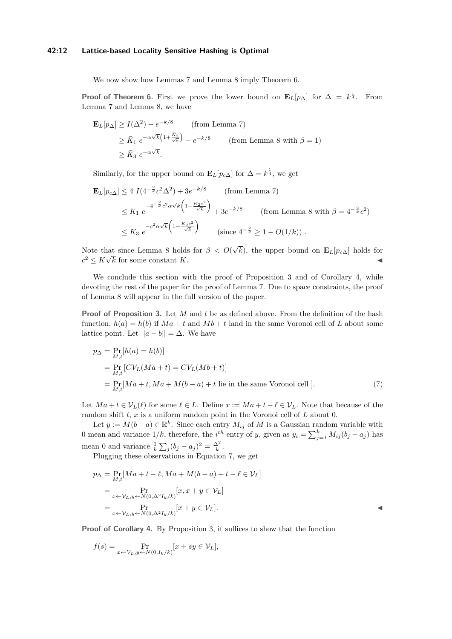### **42:12 Lattice-based Locality Sensitive Hashing is Optimal**

We now show how Lemmas [7](#page-10-1) and Lemma [8](#page-10-0) imply Theorem [6.](#page-9-2)

**Proof of Theorem [6.](#page-9-2)** First we prove the lower bound on  $\mathbf{E}_L[p_\Delta]$  for  $\Delta = k^{\frac{1}{4}}$ . From Lemma [7](#page-10-1) and Lemma [8,](#page-10-0) we have

$$
\mathbf{E}_{L}[p_{\Delta}] \ge I(\Delta^2) - e^{-k/8} \qquad \text{(from Lemma 7)}
$$
\n
$$
\ge \bar{K}_1 e^{-\alpha\sqrt{k}\left(1 + \frac{\bar{K}_2}{\sqrt{k}}\right)} - e^{-k/8} \qquad \text{(from Lemma 8 with } \beta = 1)
$$
\n
$$
\ge \bar{K}_3 e^{-\alpha\sqrt{k}}.
$$

Similarly, for the upper bound on  $\mathbf{E}_L[p_{c\Delta}]$  for  $\Delta = k^{\frac{1}{4}}$ , we get

$$
\mathbf{E}_{L}[p_{c\Delta}] \le 4 \ I(4^{-\frac{2}{k}}c^{2}\Delta^{2}) + 3e^{-k/8} \qquad \text{(from Lemma 7)}
$$
\n
$$
\le K_{1} e^{-4^{-\frac{2}{k}}c^{2}\alpha\sqrt{k}\left(1 - \frac{K_{2}c^{2}}{\sqrt{k}}\right)} + 3e^{-k/8} \qquad \text{(from Lemma 8 with } \beta = 4^{-\frac{2}{k}}c^{2})
$$
\n
$$
\le K_{3} e^{-c^{2}\alpha\sqrt{k}\left(1 - \frac{K_{2}c^{2}}{\sqrt{k}}\right)} \qquad \text{(since } 4^{-\frac{2}{k}} \ge 1 - O(1/k)) .
$$

Note that since Lemma [8](#page-10-0) holds for *β < O*( √ and since Lemma 8 holds for  $\beta < O(\sqrt{k})$ , the upper bound on  $\mathbf{E}_L[p_{c\Delta}]$  holds for  $c^2 \leq K\sqrt{k}$  for some constant *K*.

We conclude this section with the proof of Proposition [3](#page-9-3) and of Corollary [4,](#page-9-1) while devoting the rest of the paper for the proof of Lemma [7.](#page-10-1) Due to space constraints, the proof of Lemma [8](#page-10-0) will appear in the full version of the paper.

**Proof of Proposition [3.](#page-9-3)** Let *M* and *t* be as defined above. From the definition of the hash function,  $h(a) = h(b)$  if  $Ma + t$  and  $Mb + t$  land in the same Voronoi cell of *L* about some lattice point. Let  $||a - b|| = \Delta$ . We have

<span id="page-11-0"></span>
$$
p_{\Delta} = \Pr_{M,t}[h(a) = h(b)]
$$
  
= 
$$
\Pr_{M,t}[CV_L(Ma + t) = CV_L(Mb + t)]
$$
  
= 
$$
\Pr_{M,t}[Ma + t, Ma + M(b - a) + t \text{ lie in the same Voronoi cell }].
$$
 (7)

Let  $Ma + t \in \mathcal{V}_L(\ell)$  for some  $\ell \in L$ . Define  $x := Ma + t - \ell \in \mathcal{V}_L$ . Note that because of the random shift *t*, *x* is a uniform random point in the Voronoi cell of *L* about 0.

Let  $y := M(b-a) \in \mathbb{R}^k$ . Since each entry  $M_{ij}$  of M is a Gaussian random variable with 0 mean and variance  $1/k$ , therefore, the *i*<sup>th</sup> entry of *y*, given as  $y_i = \sum_{j=1}^k M_{ij} (b_j - a_j)$  has mean 0 and variance  $\frac{1}{k} \sum_j (b_j - a_j)^2 = \frac{\Delta^2}{k}$ .

Plugging these observations in Equation [7,](#page-11-0) we get

$$
p_{\Delta} = \Pr_{M,t}[Ma + t - \ell, Ma + M(b - a) + t - \ell \in \mathcal{V}_L]
$$
  
= 
$$
\Pr_{x \leftarrow \mathcal{V}_L, y \leftarrow N(0, \Delta^2 I_k / k)}[x, x + y \in \mathcal{V}_L]
$$
  
= 
$$
\Pr_{x \leftarrow \mathcal{V}_L, y \leftarrow N(0, \Delta^2 I_k / k)}[x + y \in \mathcal{V}_L].
$$

**Proof of Corollary [4.](#page-9-1)** By Proposition [3,](#page-9-3) it suffices to show that the function

$$
f(s) = \Pr_{x \leftarrow \mathcal{V}_L, y \leftarrow N(0, I_k/k)}[x + sy \in \mathcal{V}_L],
$$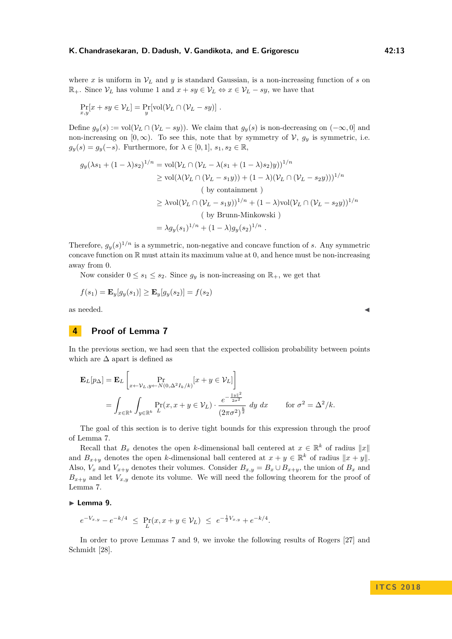$$
\Pr_{x,y}[x+sy\in\mathcal{V}_L]=\Pr_y[\text{vol}(\mathcal{V}_L\cap(\mathcal{V}_L-sy)]\ .
$$

Define  $g_y(s) := \text{vol}(\mathcal{V}_L \cap (\mathcal{V}_L - sy))$ . We claim that  $g_y(s)$  is non-decreasing on  $(-\infty, 0]$  and non-increasing on  $[0, \infty)$ . To see this, note that by symmetry of  $\mathcal{V}$ ,  $g_y$  is symmetric, i.e.  $g_y(s) = g_y(-s)$ . Furthermore, for  $\lambda \in [0,1], s_1, s_2 \in \mathbb{R}$ ,

$$
g_y(\lambda s_1 + (1 - \lambda)s_2)^{1/n} = \text{vol}(\mathcal{V}_L \cap (\mathcal{V}_L - \lambda(s_1 + (1 - \lambda)s_2)y))^{1/n}
$$
  
\n
$$
\geq \text{vol}(\lambda(\mathcal{V}_L \cap (\mathcal{V}_L - s_1y)) + (1 - \lambda)(\mathcal{V}_L \cap (\mathcal{V}_L - s_2y)))^{1/n}
$$
  
\n(by containment)  
\n
$$
\geq \lambda \text{vol}(\mathcal{V}_L \cap (\mathcal{V}_L - s_1y))^{1/n} + (1 - \lambda)\text{vol}(\mathcal{V}_L \cap (\mathcal{V}_L - s_2y))^{1/n}
$$
  
\n(by Brunn-Minkowski)  
\n
$$
= \lambda g_y(s_1)^{1/n} + (1 - \lambda)g_y(s_2)^{1/n}.
$$

Therefore,  $g_y(s)^{1/n}$  is a symmetric, non-negative and concave function of *s*. Any symmetric concave function on  $\mathbb R$  must attain its maximum value at 0, and hence must be non-increasing away from 0.

Now consider  $0 \leq s_1 \leq s_2$ . Since  $g_y$  is non-increasing on  $\mathbb{R}_+$ , we get that

$$
f(s_1) = \mathbf{E}_y[g_y(s_1)] \ge \mathbf{E}_y[g_y(s_2)] = f(s_2)
$$

as needed.  $\blacksquare$ 

# **4 Proof of Lemma [7](#page-10-1)**

In the previous section, we had seen that the expected collision probability between points which are  $\Delta$  apart is defined as

$$
\mathbf{E}_L[p_\Delta] = \mathbf{E}_L \left[ \Pr_{x \leftarrow \mathcal{V}_L, y \leftarrow N(0, \Delta^2 I_k / k)} [x + y \in \mathcal{V}_L] \right] \right]
$$
  
= 
$$
\int_{x \in \mathbb{R}^k} \int_{y \in \mathbb{R}^k} \Pr_L(x, x + y \in \mathcal{V}_L) \cdot \frac{e^{-\frac{\|y\|^2}{2\sigma^2}}}{(2\pi\sigma^2)^{\frac{k}{2}}} dy dx \quad \text{for } \sigma^2 = \Delta^2 / k.
$$

The goal of this section is to derive tight bounds for this expression through the proof of Lemma [7.](#page-10-1)

Recall that  $B_x$  denotes the open *k*-dimensional ball centered at  $x \in \mathbb{R}^k$  of radius  $||x||$ and  $B_{x+y}$  denotes the open *k*-dimensional ball centered at  $x + y \in \mathbb{R}^k$  of radius  $||x + y||$ . Also,  $V_x$  and  $V_{x+y}$  denotes their volumes. Consider  $B_{x,y} = B_x \cup B_{x+y}$ , the union of  $B_x$  and  $B_{x+y}$  and let  $V_{x,y}$  denote its volume. We will need the following theorem for the proof of Lemma [7.](#page-10-1)

## <span id="page-12-0"></span>► Lemma 9.

$$
e^{-V_{x,y}} - e^{-k/4} \le \Pr_L(x, x + y \in \mathcal{V}_L) \le e^{-\frac{1}{2}V_{x,y}} + e^{-k/4}.
$$

In order to prove Lemmas [7](#page-10-1) and [9,](#page-12-0) we invoke the following results of Rogers [\[27\]](#page-17-12) and Schmidt [\[28\]](#page-17-11).

## **I T C S 2 0 1 8**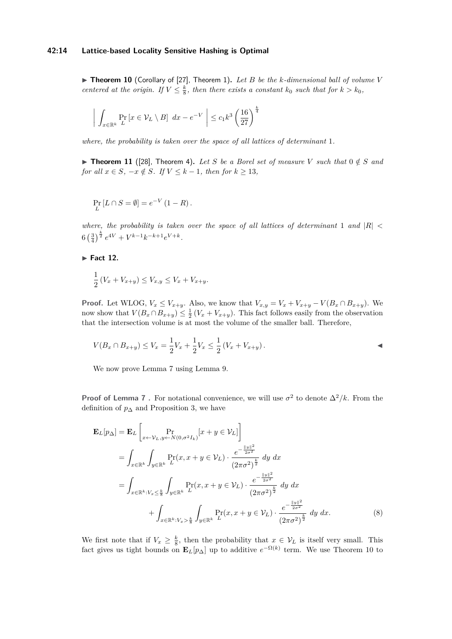<span id="page-13-0"></span> $\blacktriangleright$  **Theorem 10** (Corollary of [\[27\]](#page-17-12), Theorem 1). Let B be the k-dimensional ball of volume V *centered at the origin. If*  $V \leq \frac{k}{8}$ *, then there exists a constant*  $k_0$  *such that for*  $k > k_0$ *,* 

$$
\left| \int_{x \in \mathbb{R}^k} \Pr_{L} \left[ x \in \mathcal{V}_L \setminus B \right] dx - e^{-V} \right| \leq c_1 k^3 \left( \frac{16}{27} \right)^{\frac{k}{4}}
$$

*where, the probability is taken over the space of all lattices of determinant* 1*.*

<span id="page-13-2"></span>▶ **Theorem 11** ([\[28\]](#page-17-11), Theorem 4). Let S be a Borel set of measure V such that  $0 \notin S$  and *for all*  $x \in S$ *,*  $-x \notin S$ *. If*  $V \leq k-1$ *, then for*  $k \geq 13$ *,* 

$$
\Pr_L [L \cap S = \emptyset] = e^{-V} (1 - R).
$$

*where, the probability is taken over the space of all lattices of determinant* 1 *and*  $|R|$  <  $6\left(\frac{3}{4}\right)^{\frac{k}{2}}e^{4V} + V^{k-1}k^{-k+1}e^{V+k}.$ 

**Fact 12.** 

$$
\frac{1}{2}(V_x + V_{x+y}) \le V_{x,y} \le V_x + V_{x+y}.
$$

**Proof.** Let WLOG,  $V_x \leq V_{x+y}$ . Also, we know that  $V_{x,y} = V_x + V_{x+y} - V(B_x \cap B_{x+y})$ . We now show that  $V(B_x \cap B_{x+y}) \leq \frac{1}{2}(V_x + V_{x+y})$ . This fact follows easily from the observation that the intersection volume is at most the volume of the smaller ball. Therefore,

$$
V(B_x \cap B_{x+y}) \le V_x = \frac{1}{2}V_x + \frac{1}{2}V_x \le \frac{1}{2}(V_x + V_{x+y}).
$$

We now prove Lemma [7](#page-10-1) using Lemma [9.](#page-12-0)

**Proof of Lemma [7](#page-10-1)**. For notational convenience, we will use  $\sigma^2$  to denote  $\Delta^2/k$ . From the definition of  $p_{\Delta}$  and Proposition [3,](#page-9-3) we have

<span id="page-13-1"></span>
$$
\mathbf{E}_{L}[p_{\Delta}] = \mathbf{E}_{L} \left[ \Pr_{x \leftarrow \mathcal{V}_{L}, y \leftarrow N(0, \sigma^{2} I_{k})} [x + y \in \mathcal{V}_{L}] \right] \n= \int_{x \in \mathbb{R}^{k}} \int_{y \in \mathbb{R}^{k}} \Pr_{L}(x, x + y \in \mathcal{V}_{L}) \cdot \frac{e^{-\frac{||y||^{2}}{2\sigma^{2}}}}{(2\pi\sigma^{2})^{\frac{k}{2}}} dy dx \n= \int_{x \in \mathbb{R}^{k}: V_{x} \leq \frac{k}{8}} \int_{y \in \mathbb{R}^{k}} \Pr_{L}(x, x + y \in \mathcal{V}_{L}) \cdot \frac{e^{-\frac{||y||^{2}}{2\sigma^{2}}}}{(2\pi\sigma^{2})^{\frac{k}{2}}} dy dx \n+ \int_{x \in \mathbb{R}^{k}: V_{x} \geq \frac{k}{8}} \int_{y \in \mathbb{R}^{k}} \Pr_{L}(x, x + y \in \mathcal{V}_{L}) \cdot \frac{e^{-\frac{||y||^{2}}{2\sigma^{2}}}}{(2\pi\sigma^{2})^{\frac{k}{2}}} dy dx.
$$
\n(8)

We first note that if  $V_x \geq \frac{k}{8}$ , then the probability that  $x \in V_L$  is itself very small. This fact gives us tight bounds on  $\mathbf{E}_L[p_\Delta]$  up to additive  $e^{-\Omega(k)}$  term. We use Theorem [10](#page-13-0) to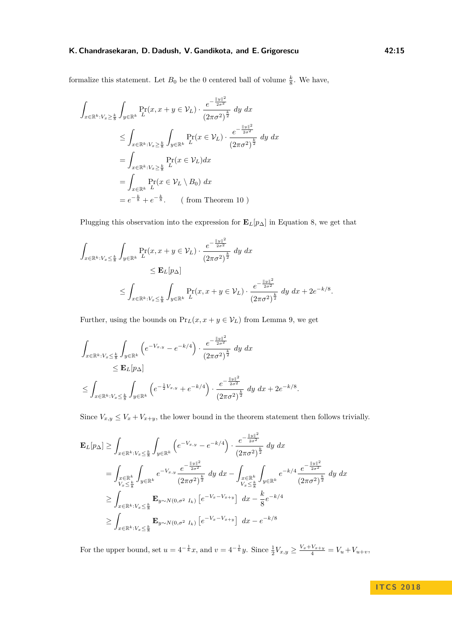formalize this statement. Let  $B_0$  be the 0 centered ball of volume  $\frac{k}{8}$ . We have,

$$
\int_{x \in \mathbb{R}^k : V_x \ge \frac{k}{8}} \int_{y \in \mathbb{R}^k} \Pr(x, x + y \in V_L) \cdot \frac{e^{-\frac{||y||^2}{2\sigma^2}}}{(2\pi\sigma^2)^{\frac{k}{2}}} dy dx
$$
\n
$$
\le \int_{x \in \mathbb{R}^k : V_x \ge \frac{k}{8}} \int_{y \in \mathbb{R}^k} \Pr(x \in V_L) \cdot \frac{e^{-\frac{||y||^2}{2\sigma^2}}}{(2\pi\sigma^2)^{\frac{k}{2}}} dy dx
$$
\n
$$
= \int_{x \in \mathbb{R}^k : V_x \ge \frac{k}{8}} \Pr(x \in V_L) dx
$$
\n
$$
= \int_{x \in \mathbb{R}^k} \Pr(x \in V_L \setminus B_0) dx
$$
\n
$$
= e^{-\frac{k}{8}} + e^{-\frac{k}{8}}. \quad \text{(from Theorem 10)}
$$

Plugging this observation into the expression for  $\mathbf{E}_L[p_\Delta]$  in Equation [8,](#page-13-1) we get that

$$
\int_{x \in \mathbb{R}^k : V_x \leq \frac{k}{8}} \int_{y \in \mathbb{R}^k} \Pr(x, x + y \in V_L) \cdot \frac{e^{-\frac{||y||^2}{2\sigma^2}}}{(2\pi\sigma^2)^{\frac{k}{2}}} dy dx
$$
\n
$$
\leq \mathbf{E}_L[p_\Delta]
$$
\n
$$
\leq \int_{x \in \mathbb{R}^k : V_x \leq \frac{k}{8}} \int_{y \in \mathbb{R}^k} \Pr(x, x + y \in V_L) \cdot \frac{e^{-\frac{||y||^2}{2\sigma^2}}}{(2\pi\sigma^2)^{\frac{k}{2}}} dy dx + 2e^{-k/8}.
$$

Further, using the bounds on  $\Pr_{L}(x, x + y \in \mathcal{V}_{L})$  from Lemma [9,](#page-12-0) we get

$$
\int_{x \in \mathbb{R}^k : V_x \leq \frac{k}{8}} \int_{y \in \mathbb{R}^k} \left( e^{-V_{x,y}} - e^{-k/4} \right) \cdot \frac{e^{-\frac{\|y\|^2}{2\sigma^2}}}{(2\pi\sigma^2)^{\frac{k}{2}}} \, dy \, dx
$$
\n
$$
\leq \mathbf{E}_L[p_\Delta]
$$
\n
$$
\leq \int_{x \in \mathbb{R}^k : V_x \leq \frac{k}{8}} \int_{y \in \mathbb{R}^k} \left( e^{-\frac{1}{2}V_{x,y}} + e^{-k/4} \right) \cdot \frac{e^{-\frac{\|y\|^2}{2\sigma^2}}}{(2\pi\sigma^2)^{\frac{k}{2}}} \, dy \, dx + 2e^{-k/8}.
$$

Since  $V_{x,y} \leq V_x + V_{x+y}$ , the lower bound in the theorem statement then follows trivially.

$$
\mathbf{E}_{L}[p_{\Delta}] \geq \int_{x \in \mathbb{R}^{k}: V_{x} \leq \frac{k}{8}} \int_{y \in \mathbb{R}^{k}} \left( e^{-V_{x,y}} - e^{-k/4} \right) \cdot \frac{e^{-\frac{\|y\|^{2}}{2\sigma^{2}}}}{(2\pi\sigma^{2})^{\frac{k}{2}}} dy dx
$$
\n
$$
= \int_{\substack{x \in \mathbb{R}^{k} \\ V_{x} \leq \frac{k}{8}}} \int_{y \in \mathbb{R}^{k}} e^{-V_{x,y}} \frac{e^{-\frac{\|y\|^{2}}{2\sigma^{2}}}}{(2\pi\sigma^{2})^{\frac{k}{2}}} dy dx - \int_{\substack{x \in \mathbb{R}^{k} \\ V_{x} \leq \frac{k}{8}}} \int_{y \in \mathbb{R}^{k}} e^{-k/4} \frac{e^{-\frac{\|y\|^{2}}{2\sigma^{2}}}}{(2\pi\sigma^{2})^{\frac{k}{2}}} dy dx
$$
\n
$$
\geq \int_{x \in \mathbb{R}^{k}: V_{x} \leq \frac{k}{8}} \mathbf{E}_{y \sim N(0, \sigma^{2} I_{k})} \left[ e^{-V_{x} - V_{x+y}} \right] dx - \frac{k}{8} e^{-k/4}
$$
\n
$$
\geq \int_{x \in \mathbb{R}^{k}: V_{x} \leq \frac{k}{8}} \mathbf{E}_{y \sim N(0, \sigma^{2} I_{k})} \left[ e^{-V_{x} - V_{x+y}} \right] dx - e^{-k/8}
$$

For the upper bound, set  $u = 4^{-\frac{1}{k}}x$ , and  $v = 4^{-\frac{1}{k}}y$ . Since  $\frac{1}{2}V_{x,y} \ge \frac{V_x + V_{x+y}}{4} = V_u + V_{u+v}$ ,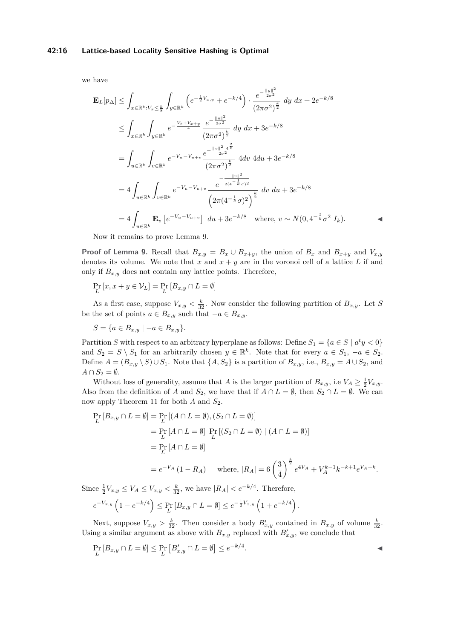#### **42:16 Lattice-based Locality Sensitive Hashing is Optimal**

we have

$$
\mathbf{E}_{L}[p_{\Delta}] \leq \int_{x \in \mathbb{R}^{k} : V_{x} \leq \frac{k}{8}} \int_{y \in \mathbb{R}^{k}} \left( e^{-\frac{1}{2}V_{x,y}} + e^{-k/4} \right) \cdot \frac{e^{-\frac{\|y\|^{2}}{2\sigma^{2}}}}{(2\pi\sigma^{2})^{\frac{k}{2}}} dy dx + 2e^{-k/8}
$$
\n
$$
\leq \int_{x \in \mathbb{R}^{k}} \int_{y \in \mathbb{R}^{k}} e^{-\frac{V_{x} + V_{x+y}}{4}} \frac{e^{-\frac{\|y\|^{2}}{2\sigma^{2}}}}{(2\pi\sigma^{2})^{\frac{k}{2}}} dy dx + 3e^{-k/8}
$$
\n
$$
= \int_{u \in \mathbb{R}^{k}} \int_{v \in \mathbb{R}^{k}} e^{-V_{u} - V_{u+v}} \frac{e^{-\frac{\|v\|^{2}}{2\sigma^{2}} - \frac{k}{4}}}{(2\pi\sigma^{2})^{\frac{k}{2}}} 4dv 4du + 3e^{-k/8}
$$
\n
$$
= 4 \int_{u \in \mathbb{R}^{k}} \int_{v \in \mathbb{R}^{k}} e^{-V_{u} - V_{u+v}} \frac{e^{-\frac{\|v\|^{2}}{2\sigma^{2}}}}{\left(2\pi(4^{-\frac{1}{k}}\sigma)^{2}\right)^{\frac{k}{2}}} dv du + 3e^{-k/8}
$$
\n
$$
= 4 \int_{u \in \mathbb{R}^{k}} \mathbf{E}_{v} \left[e^{-V_{u} - V_{u+v}}\right] du + 3e^{-k/8} \quad \text{where, } v \sim N(0, 4^{-\frac{2}{k}}\sigma^{2} I_{k}).
$$

Now it remains to prove Lemma [9.](#page-12-0)

**Proof of Lemma [9.](#page-12-0)** Recall that  $B_{x,y} = B_x \cup B_{x+y}$ , the union of  $B_x$  and  $B_{x+y}$  and  $V_{x,y}$ denotes its volume. We note that  $x$  and  $x + y$  are in the voronoi cell of a lattice  $L$  if and only if  $B_{x,y}$  does not contain any lattice points. Therefore,

$$
\Pr_{L}\left[x, x + y \in \mathcal{V}_{L}\right] = \Pr_{L}\left[B_{x,y} \cap L = \emptyset\right]
$$

As a first case, suppose  $V_{x,y} < \frac{k}{32}$ . Now consider the following partition of  $B_{x,y}$ . Let *S* be the set of points  $a \in B_{x,y}$  such that  $-a \in B_{x,y}$ .

$$
S = \{a \in B_{x,y} \mid -a \in B_{x,y}\}.
$$

Partition *S* with respect to an arbitrary hyperplane as follows: Define  $S_1 = \{a \in S \mid a^t y < 0\}$ and  $S_2 = S \setminus S_1$  for an arbitrarily chosen  $y \in \mathbb{R}^k$ . Note that for every  $a \in S_1$ ,  $-a \in S_2$ . Define  $A = (B_{x,y} \setminus S) \cup S_1$ . Note that  $\{A, S_2\}$  is a partition of  $B_{x,y}$ , i.e.,  $B_{x,y} = A \cup S_2$ , and  $A \cap S_2 = \emptyset$ .

Without loss of generality, assume that *A* is the larger partition of  $B_{x,y}$ , i.e  $V_A \geq \frac{1}{2}V_{x,y}$ . Also from the definition of *A* and  $S_2$ , we have that if  $A \cap L = \emptyset$ , then  $S_2 \cap L = \emptyset$ . We can now apply Theorem [11](#page-13-2) for both *A* and  $S_2$ .

$$
\Pr_{L}[B_{x,y} \cap L = \emptyset] = \Pr_{L}[(A \cap L = \emptyset), (S_2 \cap L = \emptyset)]
$$
\n
$$
= \Pr_{L}[A \cap L = \emptyset] \Pr_{L}[(S_2 \cap L = \emptyset) | (A \cap L = \emptyset)]
$$
\n
$$
= \Pr_{L}[A \cap L = \emptyset]
$$
\n
$$
= e^{-V_A}(1 - R_A) \quad \text{where, } |R_A| = 6\left(\frac{3}{4}\right)^{\frac{k}{2}} e^{4V_A} + V_A^{k-1} k^{-k+1} e^{V_A + k}.
$$

Since  $\frac{1}{2}V_{x,y} \leq V_A \leq V_{x,y} < \frac{k}{32}$ , we have  $|R_A| < e^{-k/4}$ . Therefore,

$$
e^{-V_{x,y}}\left(1-e^{-k/4}\right) \leq \Pr_L[B_{x,y} \cap L = \emptyset] \leq e^{-\frac{1}{2}V_{x,y}}\left(1+e^{-k/4}\right).
$$

Next, suppose  $V_{x,y} > \frac{k}{32}$ . Then consider a body  $B'_{x,y}$  contained in  $B_{x,y}$  of volume  $\frac{k}{32}$ . Using a similar argument as above with  $B_{x,y}$  replaced with  $B'_{x,y}$ , we conclude that

$$
\Pr_L[B_{x,y} \cap L = \emptyset] \le \Pr_L[B'_{x,y} \cap L = \emptyset] \le e^{-k/4}.
$$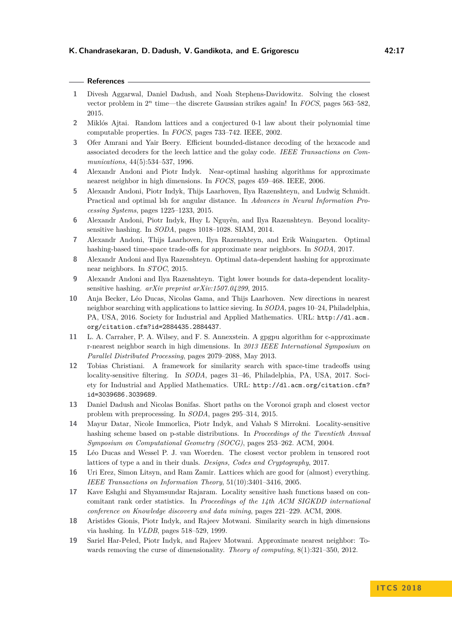## **References**

- <span id="page-16-11"></span>**1** Divesh Aggarwal, Daniel Dadush, and Noah Stephens-Davidowitz. Solving the closest vector problem in  $2^n$  time—the discrete Gaussian strikes again! In *FOCS*, pages 563–582, 2015.
- <span id="page-16-9"></span>**2** Miklós Ajtai. Random lattices and a conjectured 0-1 law about their polynomial time computable properties. In *FOCS*, pages 733–742. IEEE, 2002.
- <span id="page-16-7"></span>**3** Ofer Amrani and Yair Beery. Efficient bounded-distance decoding of the hexacode and associated decoders for the leech lattice and the golay code. *IEEE Transactions on Communications*, 44(5):534–537, 1996.
- <span id="page-16-4"></span>**4** Alexandr Andoni and Piotr Indyk. Near-optimal hashing algorithms for approximate nearest neighbor in high dimensions. In *FOCS*, pages 459–468. IEEE, 2006.
- <span id="page-16-17"></span>**5** Alexandr Andoni, Piotr Indyk, Thijs Laarhoven, Ilya Razenshteyn, and Ludwig Schmidt. Practical and optimal lsh for angular distance. In *Advances in Neural Information Processing Systems*, pages 1225–1233, 2015.
- <span id="page-16-5"></span>**6** Alexandr Andoni, Piotr Indyk, Huy L Nguyên, and Ilya Razenshteyn. Beyond localitysensitive hashing. In *SODA*, pages 1018–1028. SIAM, 2014.
- <span id="page-16-16"></span>**7** Alexandr Andoni, Thijs Laarhoven, Ilya Razenshteyn, and Erik Waingarten. Optimal hashing-based time-space trade-offs for approximate near neighbors. In *SODA*, 2017.
- <span id="page-16-6"></span>**8** Alexandr Andoni and Ilya Razenshteyn. Optimal data-dependent hashing for approximate near neighbors. In *STOC*, 2015.
- <span id="page-16-14"></span>**9** Alexandr Andoni and Ilya Razenshteyn. Tight lower bounds for data-dependent localitysensitive hashing. *arXiv preprint arXiv:1507.04299*, 2015.
- <span id="page-16-0"></span>**10** Anja Becker, Léo Ducas, Nicolas Gama, and Thijs Laarhoven. New directions in nearest neighbor searching with applications to lattice sieving. In *SODA*, pages 10–24, Philadelphia, PA, USA, 2016. Society for Industrial and Applied Mathematics. URL: [http://dl.acm.](http://dl.acm.org/citation.cfm?id=2884435.2884437) [org/citation.cfm?id=2884435.2884437](http://dl.acm.org/citation.cfm?id=2884435.2884437).
- <span id="page-16-8"></span>**11** L. A. Carraher, P. A. Wilsey, and F. S. Annexstein. A gpgpu algorithm for c-approximate r-nearest neighbor search in high dimensions. In *2013 IEEE International Symposium on Parallel Distributed Processing*, pages 2079–2088, May 2013.
- <span id="page-16-15"></span>**12** Tobias Christiani. A framework for similarity search with space-time tradeoffs using locality-sensitive filtering. In *SODA*, pages 31–46, Philadelphia, PA, USA, 2017. Society for Industrial and Applied Mathematics. URL: [http://dl.acm.org/citation.cfm?](http://dl.acm.org/citation.cfm?id=3039686.3039689) [id=3039686.3039689](http://dl.acm.org/citation.cfm?id=3039686.3039689).
- <span id="page-16-10"></span>**13** Daniel Dadush and Nicolas Bonifas. Short paths on the Voronoi graph and closest vector problem with preprocessing. In *SODA*, pages 295–314, 2015.
- <span id="page-16-3"></span>**14** Mayur Datar, Nicole Immorlica, Piotr Indyk, and Vahab S Mirrokni. Locality-sensitive hashing scheme based on p-stable distributions. In *Proceedings of the Twentieth Annual Symposium on Computational Geometry (SOCG)*, pages 253–262. ACM, 2004.
- <span id="page-16-12"></span>**15** Léo Ducas and Wessel P. J. van Woerden. The closest vector problem in tensored root lattices of type a and in their duals. *Designs, Codes and Cryptography*, 2017.
- <span id="page-16-13"></span>**16** Uri Erez, Simon Litsyn, and Ram Zamir. Lattices which are good for (almost) everything. *IEEE Transactions on Information Theory*, 51(10):3401–3416, 2005.
- <span id="page-16-18"></span>**17** Kave Eshghi and Shyamsundar Rajaram. Locality sensitive hash functions based on concomitant rank order statistics. In *Proceedings of the 14th ACM SIGKDD international conference on Knowledge discovery and data mining*, pages 221–229. ACM, 2008.
- <span id="page-16-2"></span>**18** Aristides Gionis, Piotr Indyk, and Rajeev Motwani. Similarity search in high dimensions via hashing. In *VLDB*, pages 518–529, 1999.
- <span id="page-16-1"></span>**19** Sariel Har-Peled, Piotr Indyk, and Rajeev Motwani. Approximate nearest neighbor: Towards removing the curse of dimensionality. *Theory of computing*, 8(1):321–350, 2012.